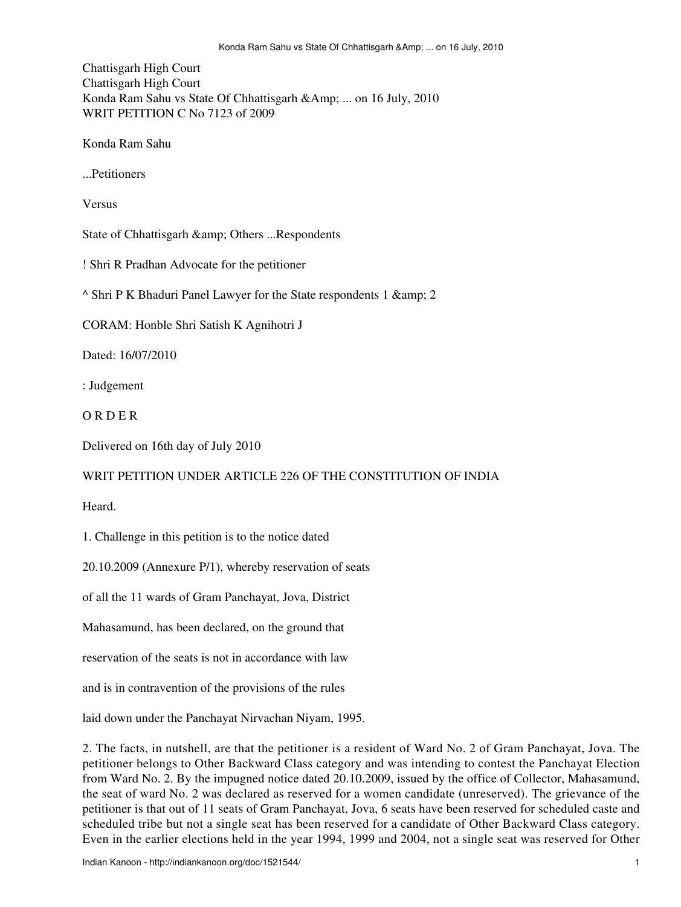Chattisgarh High Court Chattisgarh High Court Konda Ram Sahu vs State Of Chhattisgarh &Amp; ... on 16 July, 2010 WRIT PETITION C No 7123 of 2009

Konda Ram Sahu

...Petitioners

Versus

State of Chhattisgarh & amp; Others ...Respondents

! Shri R Pradhan Advocate for the petitioner

^ Shri P K Bhaduri Panel Lawyer for the State respondents 1 & 2

CORAM: Honble Shri Satish K Agnihotri J

Dated: 16/07/2010

: Judgement

O R D E R

Delivered on 16th day of July 2010

## WRIT PETITION UNDER ARTICLE 226 OF THE CONSTITUTION OF INDIA

**Heard** 

1. Challenge in this petition is to the notice dated

20.10.2009 (Annexure P/1), whereby reservation of seats

of all the 11 wards of Gram Panchayat, Jova, District

Mahasamund, has been declared, on the ground that

reservation of the seats is not in accordance with law

and is in contravention of the provisions of the rules

laid down under the Panchayat Nirvachan Niyam, 1995.

2. The facts, in nutshell, are that the petitioner is a resident of Ward No. 2 of Gram Panchayat, Jova. The petitioner belongs to Other Backward Class category and was intending to contest the Panchayat Election from Ward No. 2. By the impugned notice dated 20.10.2009, issued by the office of Collector, Mahasamund, the seat of ward No. 2 was declared as reserved for a women candidate (unreserved). The grievance of the petitioner is that out of 11 seats of Gram Panchayat, Jova, 6 seats have been reserved for scheduled caste and scheduled tribe but not a single seat has been reserved for a candidate of Other Backward Class category. Even in the earlier elections held in the year 1994, 1999 and 2004, not a single seat was reserved for Other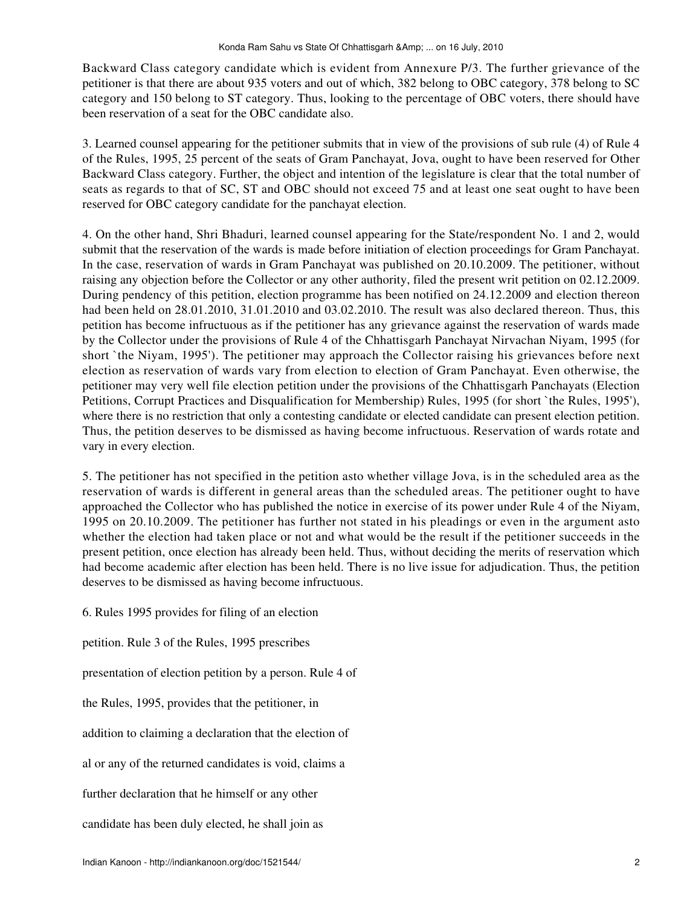Backward Class category candidate which is evident from Annexure P/3. The further grievance of the petitioner is that there are about 935 voters and out of which, 382 belong to OBC category, 378 belong to SC category and 150 belong to ST category. Thus, looking to the percentage of OBC voters, there should have been reservation of a seat for the OBC candidate also.

3. Learned counsel appearing for the petitioner submits that in view of the provisions of sub rule (4) of Rule 4 of the Rules, 1995, 25 percent of the seats of Gram Panchayat, Jova, ought to have been reserved for Other Backward Class category. Further, the object and intention of the legislature is clear that the total number of seats as regards to that of SC, ST and OBC should not exceed 75 and at least one seat ought to have been reserved for OBC category candidate for the panchayat election.

4. On the other hand, Shri Bhaduri, learned counsel appearing for the State/respondent No. 1 and 2, would submit that the reservation of the wards is made before initiation of election proceedings for Gram Panchayat. In the case, reservation of wards in Gram Panchayat was published on 20.10.2009. The petitioner, without raising any objection before the Collector or any other authority, filed the present writ petition on 02.12.2009. During pendency of this petition, election programme has been notified on 24.12.2009 and election thereon had been held on 28.01.2010, 31.01.2010 and 03.02.2010. The result was also declared thereon. Thus, this petition has become infructuous as if the petitioner has any grievance against the reservation of wards made by the Collector under the provisions of Rule 4 of the Chhattisgarh Panchayat Nirvachan Niyam, 1995 (for short `the Niyam, 1995'). The petitioner may approach the Collector raising his grievances before next election as reservation of wards vary from election to election of Gram Panchayat. Even otherwise, the petitioner may very well file election petition under the provisions of the Chhattisgarh Panchayats (Election Petitions, Corrupt Practices and Disqualification for Membership) Rules, 1995 (for short `the Rules, 1995'), where there is no restriction that only a contesting candidate or elected candidate can present election petition. Thus, the petition deserves to be dismissed as having become infructuous. Reservation of wards rotate and vary in every election.

5. The petitioner has not specified in the petition asto whether village Jova, is in the scheduled area as the reservation of wards is different in general areas than the scheduled areas. The petitioner ought to have approached the Collector who has published the notice in exercise of its power under Rule 4 of the Niyam, 1995 on 20.10.2009. The petitioner has further not stated in his pleadings or even in the argument asto whether the election had taken place or not and what would be the result if the petitioner succeeds in the present petition, once election has already been held. Thus, without deciding the merits of reservation which had become academic after election has been held. There is no live issue for adjudication. Thus, the petition deserves to be dismissed as having become infructuous.

6. Rules 1995 provides for filing of an election petition. Rule 3 of the Rules, 1995 prescribes presentation of election petition by a person. Rule 4 of the Rules, 1995, provides that the petitioner, in addition to claiming a declaration that the election of al or any of the returned candidates is void, claims a further declaration that he himself or any other candidate has been duly elected, he shall join as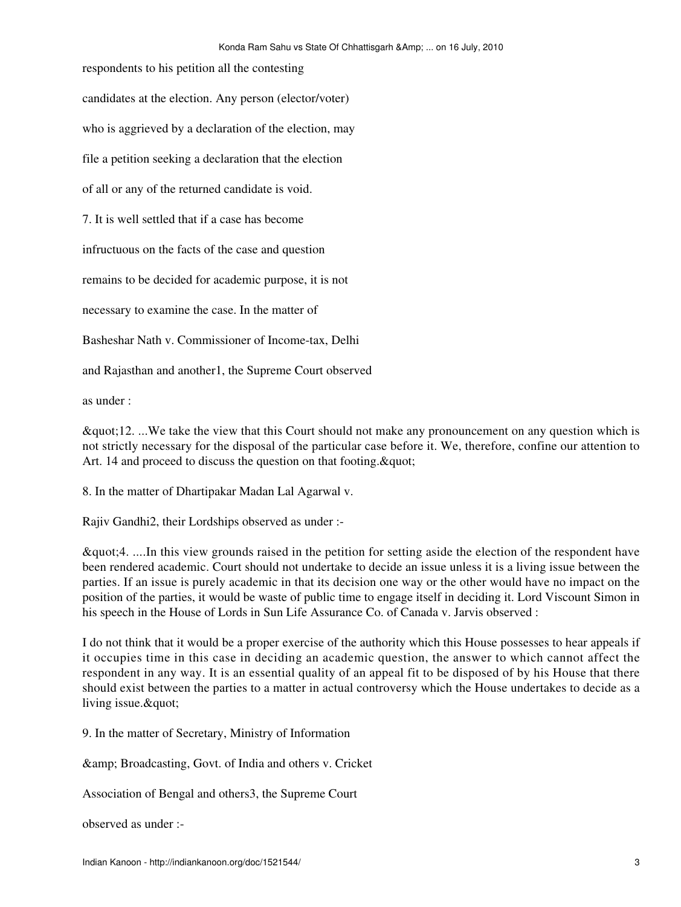respondents to his petition all the contesting candidates at the election. Any person (elector/voter) who is aggrieved by a declaration of the election, may file a petition seeking a declaration that the election of all or any of the returned candidate is void. 7. It is well settled that if a case has become infructuous on the facts of the case and question remains to be decided for academic purpose, it is not necessary to examine the case. In the matter of Basheshar Nath v. Commissioner of Income-tax, Delhi and Rajasthan and another1, the Supreme Court observed

as under :

"12. ...We take the view that this Court should not make any pronouncement on any question which is not strictly necessary for the disposal of the particular case before it. We, therefore, confine our attention to Art. 14 and proceed to discuss the question on that footing.  $\&$  quot;

8. In the matter of Dhartipakar Madan Lal Agarwal v.

Rajiv Gandhi2, their Lordships observed as under :-

"4. ....In this view grounds raised in the petition for setting aside the election of the respondent have been rendered academic. Court should not undertake to decide an issue unless it is a living issue between the parties. If an issue is purely academic in that its decision one way or the other would have no impact on the position of the parties, it would be waste of public time to engage itself in deciding it. Lord Viscount Simon in his speech in the House of Lords in Sun Life Assurance Co. of Canada v. Jarvis observed :

I do not think that it would be a proper exercise of the authority which this House possesses to hear appeals if it occupies time in this case in deciding an academic question, the answer to which cannot affect the respondent in any way. It is an essential quality of an appeal fit to be disposed of by his House that there should exist between the parties to a matter in actual controversy which the House undertakes to decide as a living issue. & quot;

9. In the matter of Secretary, Ministry of Information

& Broadcasting, Govt. of India and others v. Cricket

Association of Bengal and others3, the Supreme Court

observed as under :-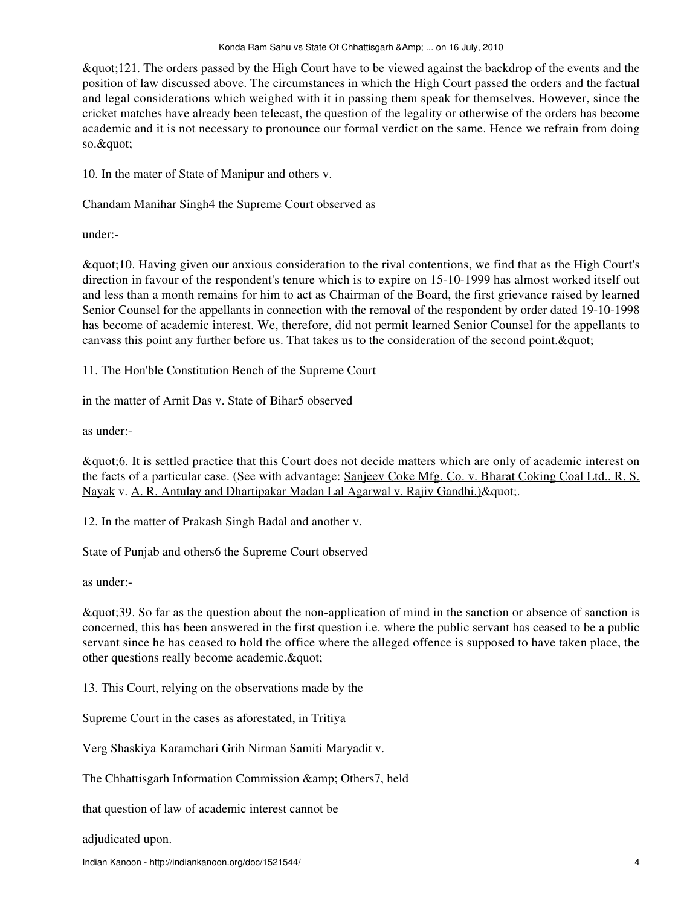"121. The orders passed by the High Court have to be viewed against the backdrop of the events and the position of law discussed above. The circumstances in which the High Court passed the orders and the factual and legal considerations which weighed with it in passing them speak for themselves. However, since the cricket matches have already been telecast, the question of the legality or otherwise of the orders has become academic and it is not necessary to pronounce our formal verdict on the same. Hence we refrain from doing so."

10. In the mater of State of Manipur and others v.

Chandam Manihar Singh4 the Supreme Court observed as

under:-

"10. Having given our anxious consideration to the rival contentions, we find that as the High Court's direction in favour of the respondent's tenure which is to expire on 15-10-1999 has almost worked itself out and less than a month remains for him to act as Chairman of the Board, the first grievance raised by learned Senior Counsel for the appellants in connection with the removal of the respondent by order dated 19-10-1998 has become of academic interest. We, therefore, did not permit learned Senior Counsel for the appellants to canvass this point any further before us. That takes us to the consideration of the second point. & quot;

11. The Hon'ble Constitution Bench of the Supreme Court

in the matter of Arnit Das v. State of Bihar5 observed

as under:-

"6. It is settled practice that this Court does not decide matters which are only of academic interest on the facts of a particular case. (See with advantage: Sanjeev Coke Mfg. Co. v. Bharat Coking Coal Ltd., R. S. Nayak v. A. R. Antulay and Dhartipakar Madan Lal Agarwal v. Rajiv Gandhi.) & quot;.

12. In the matter of Prakash Singh Badal and another v.

State of Punjab and others6 the Supreme Court observed

as under:-

"39. So far as the question about the non-application of mind in the sanction or absence of sanction is concerned, this has been answered in the first question i.e. where the public servant has ceased to be a public servant since he has ceased to hold the office where the alleged offence is supposed to have taken place, the other questions really become academic. & quot;

13. This Court, relying on the observations made by the

Supreme Court in the cases as aforestated, in Tritiya

Verg Shaskiya Karamchari Grih Nirman Samiti Maryadit v.

The Chhattisgarh Information Commission & amp; Others7, held

that question of law of academic interest cannot be

adjudicated upon.